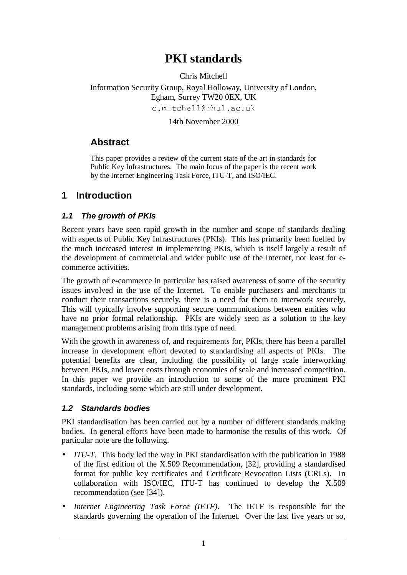# **PKI standards**

Chris Mitchell Information Security Group, Royal Holloway, University of London, Egham, Surrey TW20 0EX, UK c.mitchell@rhul.ac.uk

14th November 2000

### **Abstract**

This paper provides a review of the current state of the art in standards for Public Key Infrastructures. The main focus of the paper is the recent work by the Internet Engineering Task Force, ITU-T, and ISO/IEC.

## **1 Introduction**

#### **1.1 The growth of PKIs**

Recent years have seen rapid growth in the number and scope of standards dealing with aspects of Public Key Infrastructures (PKIs). This has primarily been fuelled by the much increased interest in implementing PKIs, which is itself largely a result of the development of commercial and wider public use of the Internet, not least for ecommerce activities.

The growth of e-commerce in particular has raised awareness of some of the security issues involved in the use of the Internet. To enable purchasers and merchants to conduct their transactions securely, there is a need for them to interwork securely. This will typically involve supporting secure communications between entities who have no prior formal relationship. PKIs are widely seen as a solution to the key management problems arising from this type of need.

With the growth in awareness of, and requirements for, PKIs, there has been a parallel increase in development effort devoted to standardising all aspects of PKIs. The potential benefits are clear, including the possibility of large scale interworking between PKIs, and lower costs through economies of scale and increased competition. In this paper we provide an introduction to some of the more prominent PKI standards, including some which are still under development.

### **1.2 Standards bodies**

PKI standardisation has been carried out by a number of different standards making bodies. In general efforts have been made to harmonise the results of this work. Of particular note are the following.

- *ITU-T*. This body led the way in PKI standardisation with the publication in 1988 of the first edition of the X.509 Recommendation, [32], providing a standardised format for public key certificates and Certificate Revocation Lists (CRLs). In collaboration with ISO/IEC, ITU-T has continued to develop the X.509 recommendation (see [34]).
- *Internet Engineering Task Force (IETF)*. The IETF is responsible for the standards governing the operation of the Internet. Over the last five years or so,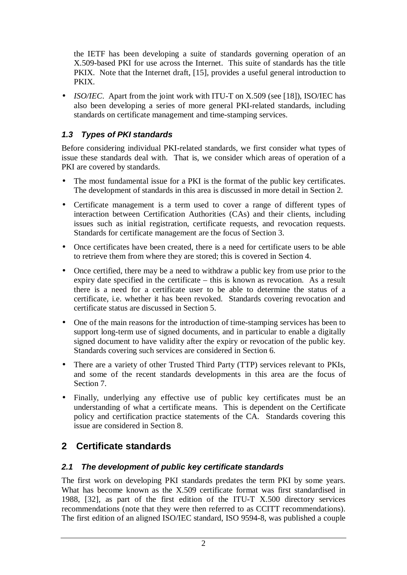the IETF has been developing a suite of standards governing operation of an X.509-based PKI for use across the Internet. This suite of standards has the title PKIX. Note that the Internet draft, [15], provides a useful general introduction to PKIX.

• *ISO/IEC*. Apart from the joint work with ITU-T on X.509 (see [18]), ISO/IEC has also been developing a series of more general PKI-related standards, including standards on certificate management and time-stamping services.

#### **1.3 Types of PKI standards**

Before considering individual PKI-related standards, we first consider what types of issue these standards deal with. That is, we consider which areas of operation of a PKI are covered by standards.

- The most fundamental issue for a PKI is the format of the public key certificates. The development of standards in this area is discussed in more detail in Section 2.
- Certificate management is a term used to cover a range of different types of interaction between Certification Authorities (CAs) and their clients, including issues such as initial registration, certificate requests, and revocation requests. Standards for certificate management are the focus of Section 3.
- Once certificates have been created, there is a need for certificate users to be able to retrieve them from where they are stored; this is covered in Section 4.
- Once certified, there may be a need to withdraw a public key from use prior to the expiry date specified in the certificate – this is known as revocation. As a result there is a need for a certificate user to be able to determine the status of a certificate, i.e. whether it has been revoked. Standards covering revocation and certificate status are discussed in Section 5.
- One of the main reasons for the introduction of time-stamping services has been to support long-term use of signed documents, and in particular to enable a digitally signed document to have validity after the expiry or revocation of the public key. Standards covering such services are considered in Section 6.
- There are a variety of other Trusted Third Party (TTP) services relevant to PKIs, and some of the recent standards developments in this area are the focus of Section 7.
- Finally, underlying any effective use of public key certificates must be an understanding of what a certificate means. This is dependent on the Certificate policy and certification practice statements of the CA. Standards covering this issue are considered in Section 8.

## **2 Certificate standards**

#### **2.1 The development of public key certificate standards**

The first work on developing PKI standards predates the term PKI by some years. What has become known as the X.509 certificate format was first standardised in 1988, [32], as part of the first edition of the ITU-T X.500 directory services recommendations (note that they were then referred to as CCITT recommendations). The first edition of an aligned ISO/IEC standard, ISO 9594-8, was published a couple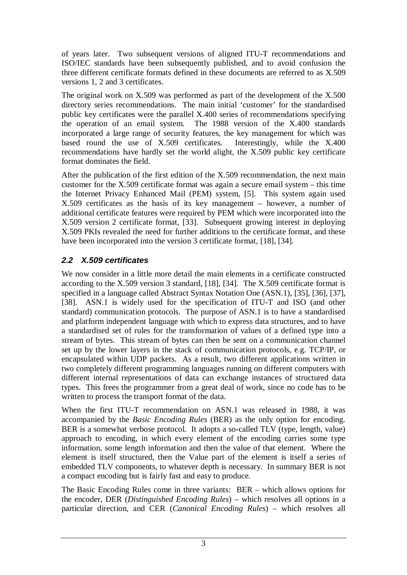of years later. Two subsequent versions of aligned ITU-T recommendations and ISO/IEC standards have been subsequently published, and to avoid confusion the three different certificate formats defined in these documents are referred to as X.509 versions 1, 2 and 3 certificates.

The original work on X.509 was performed as part of the development of the X.500 directory series recommendations. The main initial 'customer' for the standardised public key certificates were the parallel X.400 series of recommendations specifying the operation of an email system. The 1988 version of the X.400 standards incorporated a large range of security features, the key management for which was based round the use of X.509 certificates. Interestingly, while the X.400 recommendations have hardly set the world alight, the X.509 public key certificate format dominates the field.

After the publication of the first edition of the X.509 recommendation, the next main customer for the X.509 certificate format was again a secure email system – this time the Internet Privacy Enhanced Mail (PEM) system, [5]. This system again used X.509 certificates as the basis of its key management – however, a number of additional certificate features were required by PEM which were incorporated into the X.509 version 2 certificate format, [33]. Subsequent growing interest in deploying X.509 PKIs revealed the need for further additions to the certificate format, and these have been incorporated into the version 3 certificate format, [18], [34].

#### **2.2 X.509 certificates**

We now consider in a little more detail the main elements in a certificate constructed according to the X.509 version 3 standard, [18], [34]. The X.509 certificate format is specified in a language called Abstract Syntax Notation One (ASN.1), [35], [36], [37], [38]. ASN.1 is widely used for the specification of ITU-T and ISO (and other standard) communication protocols. The purpose of ASN.1 is to have a standardised and platform independent language with which to express data structures, and to have a standardised set of rules for the transformation of values of a defined type into a stream of bytes. This stream of bytes can then be sent on a communication channel set up by the lower layers in the stack of communication protocols, e.g. TCP/IP, or encapsulated within UDP packets. As a result, two different applications written in two completely different programming languages running on different computers with different internal representations of data can exchange instances of structured data types. This frees the programmer from a great deal of work, since no code has to be written to process the transport format of the data.

When the first ITU-T recommendation on ASN.1 was released in 1988, it was accompanied by the *Basic Encoding Rules* (BER) as the only option for encoding. BER is a somewhat verbose protocol. It adopts a so-called TLV (type, length, value) approach to encoding, in which every element of the encoding carries some type information, some length information and then the value of that element. Where the element is itself structured, then the Value part of the element is itself a series of embedded TLV components, to whatever depth is necessary. In summary BER is not a compact encoding but is fairly fast and easy to produce.

The Basic Encoding Rules come in three variants: BER – which allows options for the encoder, DER (*Distinguished Encoding Rules*) – which resolves all options in a particular direction, and CER (*Canonical Encoding Rules*) – which resolves all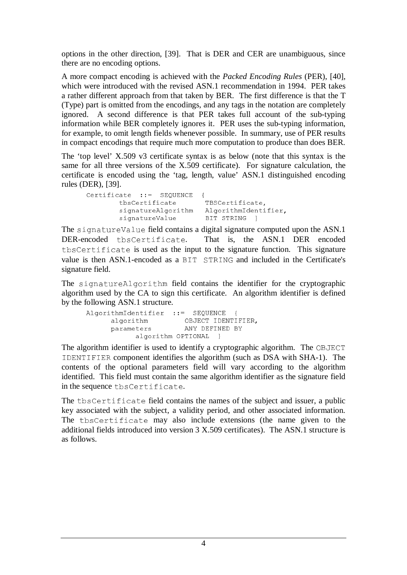options in the other direction, [39]. That is DER and CER are unambiguous, since there are no encoding options.

A more compact encoding is achieved with the *Packed Encoding Rules* (PER), [40], which were introduced with the revised ASN.1 recommendation in 1994. PER takes a rather different approach from that taken by BER. The first difference is that the T (Type) part is omitted from the encodings, and any tags in the notation are completely ignored. A second difference is that PER takes full account of the sub-typing information while BER completely ignores it. PER uses the sub-typing information, for example, to omit length fields whenever possible. In summary, use of PER results in compact encodings that require much more computation to produce than does BER.

The 'top level' X.509 v3 certificate syntax is as below (note that this syntax is the same for all three versions of the X.509 certificate). For signature calculation, the certificate is encoded using the 'tag, length, value' ASN.1 distinguished encoding rules (DER), [39].

```
Certificate ::= SEQUENCE {
tbsCertificate
                  TBSCertificate,
      signatureAlgorithm
              Algorithm AlgorithmIdentifier,
signatureValue
                       BIT STRING }
```
The signatureValue field contains a digital signature computed upon the ASN.1 DER-encoded tbsCertificate. That is, the ASN.1 DER encoded tbs Certificate is used as the input to the signature function. This signature value is then ASN.1-encoded as a BIT STRING and included in the Certificate's signature field.

The signatureAlgorithm field contains the identifier for the cryptographic algorithm used by the CA to sign this certificate. An algorithm identifier is defined by the following ASN.1 structure.

```
AlgorithmIdentifier ::= SEQUENCE {
     algorithm OBJECT IDENTIFIER,
paramete
                    ANY DEFINED BY
          algorithm OPTIONAL
```
The algorithm identifier is used to identify a cryptographic algorithm. The  $OBIECT$ IDENTIFIER component identifies the algorithm (such as DSA with SHA-1). The contents of the optional parameters field will vary according to the algorithm identified. This field must contain the same algorithm identifier as the signature field in the sequence tbsCertificate.

The tbsCertificate field contains the names of the subject and issuer, a public key associated with the subject, a validity period, and other associated information. The tbsCertificate may also include extensions (the name given to the additional fields introduced into version 3 X.509 certificates). The ASN.1 structure is as follows.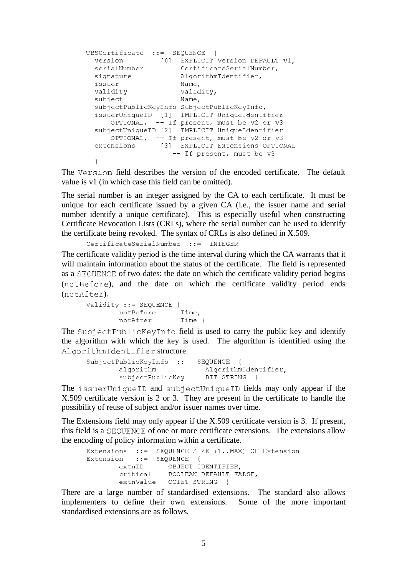```
TBSCertificate ::= SEQUENCE {
 version
   rsion [0] EXPLICIT Version DEFAULT v1,
serialNumbe
          r CertificateSerialNumber,
 signature
         AlgorithmIdentifier,
 issuer
                  Name,
                      \mathbf{r}validity validity,
 subject
     ct Name,
subjectPublicKeyInfo SubjectPublicKeyInfo,
issuerUniqueID [1] IMPLICIT UniqueIdentifier
OPTIONAL, -- If present, must be v2 or v3
subjectUniqueID [2] IMPLICIT UniqueIdentifier
OPTIONAL, -- If present, must be v2 or v3
exte
    nsions [3] EXPLICIT Extensions OPTIONAL
-- If present, must be v3
 		$
```
The Version field describes the version of the encoded certificate. The default value is v1 (in which case this field can be omitted).

The serial number is an integer assigned by the CA to each certificate. It must be unique for each certificate issued by a given CA (i.e., the issuer name and serial number identify a unique certificate). This is especially useful when constructing Certificate Revocation Lists (CRLs), where the serial number can be used to identify the certificate being revoked. The syntax of CRLs is also defined in X.509.

```
CertificateSerialNumber ::= INTEGER
```
The certificate validity period is the time interval during which the CA warrants that it will maintain information about the status of the certificate. The field is represented as a  $SEQUENCE$  of two dates: the date on which the certificate validity period begins (notBefore), and the date on which the certificate validity period ends (notAfter).

Validity ::= SEQUENCE { notBefore Time, notAfter r Time }

The SubjectPublicKeyInfo field is used to carry the public key and identify the algorithm with which the key is used. The algorithm is identified using the AlgorithmIdentifier structure.

```
SubjectPublicKeyInfo ::= SEQUENCE {
algorithm algorithmIdentifier,
subjectPublicKe
                    BIT STRING }
```
The issuerUniqueID and subjectUniqueID fields may only appear if the X.509 certificate version is 2 or 3. They are present in the certificate to handle the possibility of reuse of subject and/or issuer names over time.

The Extensions field may only appear if the X.509 certificate version is 3. If present, this field is a SEOUENCE of one or more certificate extensions. The extensions allow the encoding of policy information within a certificate.

```
Extensions ::= SEQUENCE SIZE (1 \t{.} \text{MAX}) OF Extension
Extension ::= SEQUENCE {
extnID OBJECT IDENTIFIER,
      critical BOOLEAN DEFAULT FALSE,
extnValue OCTET STRING }
```
There are a large number of standardised extensions. The standard also allows implementers to define their own extensions. Some of the more important standardised extensions are as follows.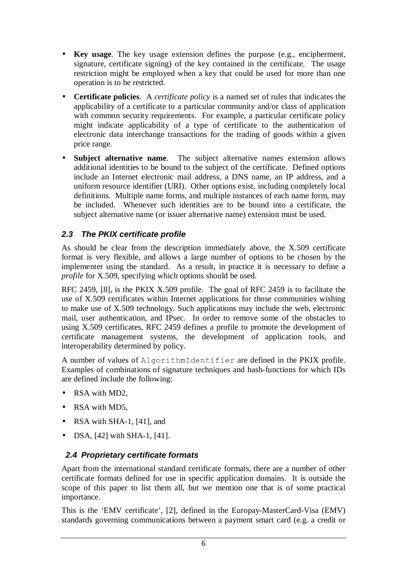- **Key usage**. The key usage extension defines the purpose (e.g., encipherment, signature, certificate signing) of the key contained in the certificate. The usage restriction might be employed when a key that could be used for more than one operation is to be restricted.
- **Certificate policies**. A *certificate policy* is a named set of rules that indicates the applicability of a certificate to a particular community and/or class of application with common security requirements. For example, a particular certificate policy might indicate applicability of a type of certificate to the authentication of electronic data interchange transactions for the trading of goods within a given price range.
- **Subject alternative name**. The subject alternative names extension allows additional identities to be bound to the subject of the certificate. Defined options include an Internet electronic mail address, a DNS name, an IP address, and a uniform resource identifier (URI). Other options exist, including completely local definitions. Multiple name forms, and multiple instances of each name form, may be included. Whenever such identities are to be bound into a certificate, the subject alternative name (or issuer alternative name) extension must be used.

#### **2.3 The PKIX certificate profile**

As should be clear from the description immediately above, the X.509 certificate format is very flexible, and allows a large number of options to be chosen by the implementer using the standard. As a result, in practice it is necessary to define a *profile* for X.509, specifying which options should be used.

RFC 2459, [8], is the PKIX X.509 profile. The goal of RFC 2459 is to facilitate the use of X.509 certificates within Internet applications for those communities wishing to make use of X.509 technology. Such applications may include the web, electronic mail, user authentication, and IPsec. In order to remove some of the obstacles to using X.509 certificates, RFC 2459 defines a profile to promote the development of certificate management systems, the development of application tools, and interoperability determined by policy.

A number of values of AlgorithmIdentifier are defined in the PKIX profile. Examples of combinations of signature techniques and hash-functions for which IDs are defined include the following:

- RSA with MD2.
- RSA with MD5,
- RSA with SHA-1, [41], and
- DSA,  $[42]$  with SHA-1,  $[41]$ .

#### **2.4 Proprietary certificate formats**

Apart from the international standard certificate formats, there are a number of other certificate formats defined for use in specific application domains. It is outside the scope of this paper to list them all, but we mention one that is of some practical importance.

This is the 'EMV certificate', [2], defined in the Europay-MasterCard-Visa (EMV) standards governing communications between a payment smart card (e.g. a credit or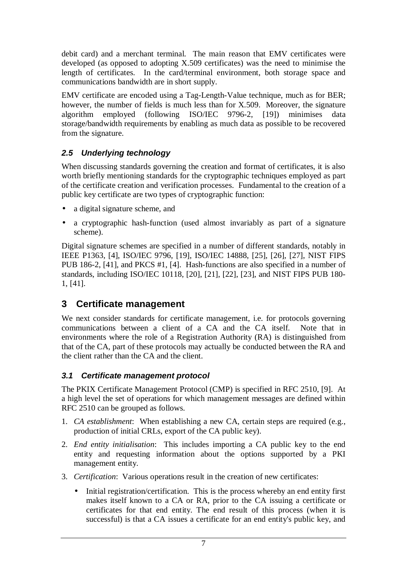debit card) and a merchant terminal. The main reason that EMV certificates were developed (as opposed to adopting X.509 certificates) was the need to minimise the length of certificates. In the card/terminal environment, both storage space and communications bandwidth are in short supply.

EMV certificate are encoded using a Tag-Length-Value technique, much as for BER; however, the number of fields is much less than for X.509. Moreover, the signature algorithm employed (following ISO/IEC 9796-2, [19]) minimises data storage/bandwidth requirements by enabling as much data as possible to be recovered from the signature.

### **2.5 Underlying technology**

When discussing standards governing the creation and format of certificates, it is also worth briefly mentioning standards for the cryptographic techniques employed as part of the certificate creation and verification processes. Fundamental to the creation of a public key certificate are two types of cryptographic function:

- a digital signature scheme, and
- a cryptographic hash-function (used almost invariably as part of a signature scheme).

Digital signature schemes are specified in a number of different standards, notably in IEEE P1363, [4], ISO/IEC 9796, [19], ISO/IEC 14888, [25], [26], [27], NIST FIPS PUB 186-2, [41], and PKCS #1, [4]. Hash-functions are also specified in a number of standards, including ISO/IEC 10118, [20], [21], [22], [23], and NIST FIPS PUB 180- 1, [41].

### **3 Certificate management**

We next consider standards for certificate management, i.e. for protocols governing communications between a client of a CA and the CA itself. Note that in environments where the role of a Registration Authority (RA) is distinguished from that of the CA, part of these protocols may actually be conducted between the RA and the client rather than the CA and the client.

#### **3.1 Certificate management protocol**

The PKIX Certificate Management Protocol (CMP) is specified in RFC 2510, [9]. At a high level the set of operations for which management messages are defined within RFC 2510 can be grouped as follows.

- 1. *CA establishment*: When establishing a new CA, certain steps are required (e.g., production of initial CRLs, export of the CA public key).
- 2. *End entity initialisation*: This includes importing a CA public key to the end entity and requesting information about the options supported by a PKI management entity.
- 3. *Certification*: Various operations result in the creation of new certificates:
	- Initial registration/certification. This is the process whereby an end entity first makes itself known to a CA or RA, prior to the CA issuing a certificate or certificates for that end entity. The end result of this process (when it is successful) is that a CA issues a certificate for an end entity's public key, and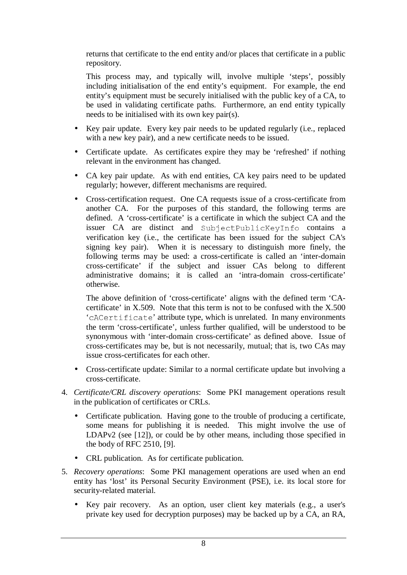returns that certificate to the end entity and/or places that certificate in a public repository.

This process may, and typically will, involve multiple 'steps', possibly including initialisation of the end entity's equipment. For example, the end entity's equipment must be securely initialised with the public key of a CA, to be used in validating certificate paths. Furthermore, an end entity typically needs to be initialised with its own key pair(s).

- Key pair update. Every key pair needs to be updated regularly (i.e., replaced with a new key pair), and a new certificate needs to be issued.
- Certificate update. As certificates expire they may be 'refreshed' if nothing relevant in the environment has changed.
- CA key pair update. As with end entities, CA key pairs need to be updated regularly; however, different mechanisms are required.
- Cross-certification request. One CA requests issue of a cross-certificate from another CA. For the purposes of this standard, the following terms are defined. A 'cross-certificate' is a certificate in which the subject CA and the issuer CA are distinct and SubjectPublicKeyInfo contains a verification key (i.e., the certificate has been issued for the subject CA's signing key pair). When it is necessary to distinguish more finely, the following terms may be used: a cross-certificate is called an 'inter-domain cross-certificate' if the subject and issuer CAs belong to different administrative domains; it is called an 'intra-domain cross-certificate' otherwise.

The above definition of 'cross-certificate' aligns with the defined term 'CAcertificate' in X.509. Note that this term is not to be confused with the X.500 'cACertificate' attribute type, which is unrelated. In many environments the term 'cross-certificate', unless further qualified, will be understood to be synonymous with 'inter-domain cross-certificate' as defined above. Issue of cross-certificates may be, but is not necessarily, mutual; that is, two CAs may issue cross-certificates for each other.

- Cross-certificate update: Similar to a normal certificate update but involving a cross-certificate.
- 4. *Certificate/CRL discovery operations*: Some PKI management operations result in the publication of certificates or CRLs.
	- Certificate publication. Having gone to the trouble of producing a certificate, some means for publishing it is needed. This might involve the use of LDAPv2 (see [12]), or could be by other means, including those specified in the body of RFC 2510, [9].
	- CRL publication. As for certificate publication.
- 5. *Recovery operations*: Some PKI management operations are used when an end entity has 'lost' its Personal Security Environment (PSE), i.e. its local store for security-related material.
	- Key pair recovery. As an option, user client key materials (e.g., a user's private key used for decryption purposes) may be backed up by a CA, an RA,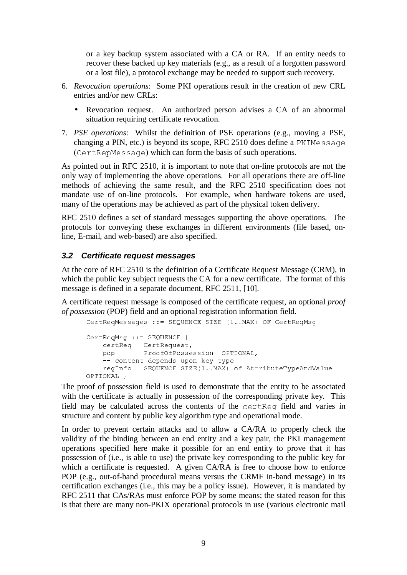or a key backup system associated with a CA or RA. If an entity needs to recover these backed up key materials (e.g., as a result of a forgotten password or a lost file), a protocol exchange may be needed to support such recovery.

- 6. *Revocation operations*: Some PKI operations result in the creation of new CRL entries and/or new CRLs:
	- Revocation request. An authorized person advises a CA of an abnormal situation requiring certificate revocation.
- 7. *PSE operations*: Whilst the definition of PSE operations (e.g., moving a PSE, changing a PIN, etc.) is beyond its scope, RFC 2510 does define a  $PKIMessaqe$ (CertRepMessage) which can form the basis of such operations.

As pointed out in RFC 2510, it is important to note that on-line protocols are not the only way of implementing the above operations. For all operations there are off-line methods of achieving the same result, and the RFC 2510 specification does not mandate use of on-line protocols. For example, when hardware tokens are used, many of the operations may be achieved as part of the physical token delivery.

RFC 2510 defines a set of standard messages supporting the above operations. The protocols for conveying these exchanges in different environments (file based, online, E-mail, and web-based) are also specified.

#### **3.2 Certificate request messages**

At the core of RFC 2510 is the definition of a Certificate Request Message (CRM), in which the public key subject requests the CA for a new certificate. The format of this message is defined in a separate document, RFC 2511, [10].

A certificate request message is composed of the certificate request, an optional *proof of possession* (POP) field and an optional registration information field.

```
CertReqMessages ::= SEQUENCE SIZE (1..MAX) OF CertReqMsg
CertReqMsg : := SEQUENCE {
certReq CertRequest,
pop ProofOfPossession OPTIONAL,
-- content depends upon key type
   regInfo
     gInfo SEQUENCE SIZE(1..MAX) of AttributeTypeAndValue
OPTIONAL }
```
The proof of possession field is used to demonstrate that the entity to be associated with the certificate is actually in possession of the corresponding private key. This field may be calculated across the contents of the certReq field and varies in structure and content by public key algorithm type and operational mode.

In order to prevent certain attacks and to allow a CA/RA to properly check the validity of the binding between an end entity and a key pair, the PKI management operations specified here make it possible for an end entity to prove that it has possession of (i.e., is able to use) the private key corresponding to the public key for which a certificate is requested. A given CA/RA is free to choose how to enforce POP (e.g., out-of-band procedural means versus the CRMF in-band message) in its certification exchanges (i.e., this may be a policy issue). However, it is mandated by RFC 2511 that CAs/RAs must enforce POP by some means; the stated reason for this is that there are many non-PKIX operational protocols in use (various electronic mail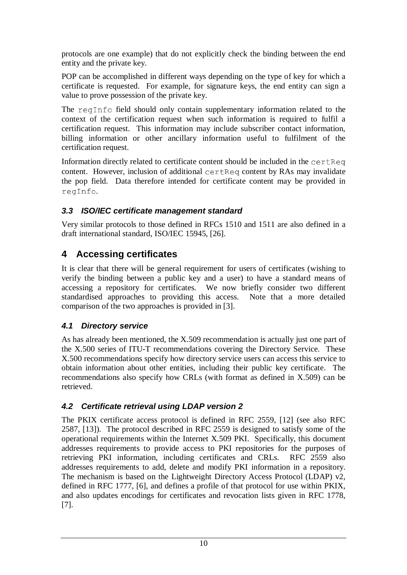protocols are one example) that do not explicitly check the binding between the end entity and the private key.

POP can be accomplished in different ways depending on the type of key for which a certificate is requested. For example, for signature keys, the end entity can sign a value to prove possession of the private key.

The regInfo field should only contain supplementary information related to the context of the certification request when such information is required to fulfil a certification request. This information may include subscriber contact information, billing information or other ancillary information useful to fulfilment of the certification request.

Information directly related to certificate content should be included in the  $\texttt{certReg}$ content. However, inclusion of additional certReq content by RAs may invalidate the pop field. Data therefore intended for certificate content may be provided in regInfo.

#### **3.3 ISO/IEC certificate management standard**

Very similar protocols to those defined in RFCs 1510 and 1511 are also defined in a draft international standard, ISO/IEC 15945, [26].

## **4 Accessing certificates**

It is clear that there will be general requirement for users of certificates (wishing to verify the binding between a public key and a user) to have a standard means of accessing a repository for certificates. We now briefly consider two different standardised approaches to providing this access. Note that a more detailed comparison of the two approaches is provided in [3].

### **4.1 Directory service**

As has already been mentioned, the X.509 recommendation is actually just one part of the X.500 series of ITU-T recommendations covering the Directory Service. These X.500 recommendations specify how directory service users can access this service to obtain information about other entities, including their public key certificate. The recommendations also specify how CRLs (with format as defined in X.509) can be retrieved.

### **4.2 Certificate retrieval using LDAP version 2**

The PKIX certificate access protocol is defined in RFC 2559, [12] (see also RFC 2587, [13]). The protocol described in RFC 2559 is designed to satisfy some of the operational requirements within the Internet X.509 PKI. Specifically, this document addresses requirements to provide access to PKI repositories for the purposes of retrieving PKI information, including certificates and CRLs. RFC 2559 also addresses requirements to add, delete and modify PKI information in a repository. The mechanism is based on the Lightweight Directory Access Protocol (LDAP) v2, defined in RFC 1777, [6], and defines a profile of that protocol for use within PKIX, and also updates encodings for certificates and revocation lists given in RFC 1778, [7].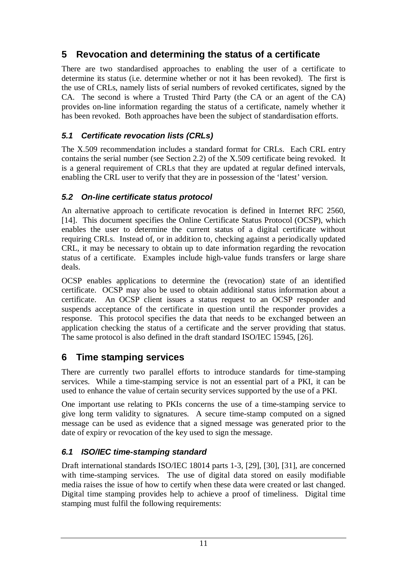## **5 Revocation and determining the status of a certificate**

There are two standardised approaches to enabling the user of a certificate to determine its status (i.e. determine whether or not it has been revoked). The first is the use of CRLs, namely lists of serial numbers of revoked certificates, signed by the CA. The second is where a Trusted Third Party (the CA or an agent of the CA) provides on-line information regarding the status of a certificate, namely whether it has been revoked. Both approaches have been the subject of standardisation efforts.

### **5.1 Certificate revocation lists (CRLs)**

The X.509 recommendation includes a standard format for CRLs. Each CRL entry contains the serial number (see Section 2.2) of the X.509 certificate being revoked. It is a general requirement of CRLs that they are updated at regular defined intervals, enabling the CRL user to verify that they are in possession of the 'latest' version.

#### **5.2 On-line certificate status protocol**

An alternative approach to certificate revocation is defined in Internet RFC 2560, [14]. This document specifies the Online Certificate Status Protocol (OCSP), which enables the user to determine the current status of a digital certificate without requiring CRLs. Instead of, or in addition to, checking against a periodically updated CRL, it may be necessary to obtain up to date information regarding the revocation status of a certificate. Examples include high-value funds transfers or large share deals.

OCSP enables applications to determine the (revocation) state of an identified certificate. OCSP may also be used to obtain additional status information about a certificate. An OCSP client issues a status request to an OCSP responder and suspends acceptance of the certificate in question until the responder provides a response. This protocol specifies the data that needs to be exchanged between an application checking the status of a certificate and the server providing that status. The same protocol is also defined in the draft standard ISO/IEC 15945, [26].

## **6 Time stamping services**

There are currently two parallel efforts to introduce standards for time-stamping services. While a time-stamping service is not an essential part of a PKI, it can be used to enhance the value of certain security services supported by the use of a PKI.

One important use relating to PKIs concerns the use of a time-stamping service to give long term validity to signatures. A secure time-stamp computed on a signed message can be used as evidence that a signed message was generated prior to the date of expiry or revocation of the key used to sign the message.

### **6.1 ISO/IEC time-stamping standard**

Draft international standards ISO/IEC 18014 parts 1-3, [29], [30], [31], are concerned with time-stamping services. The use of digital data stored on easily modifiable media raises the issue of how to certify when these data were created or last changed. Digital time stamping provides help to achieve a proof of timeliness. Digital time stamping must fulfil the following requirements: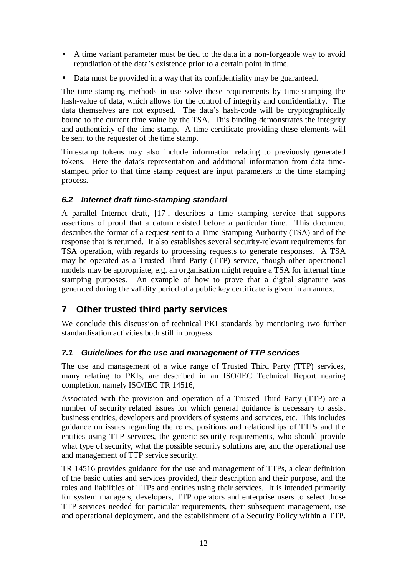- A time variant parameter must be tied to the data in a non-forgeable way to avoid repudiation of the data's existence prior to a certain point in time.
- Data must be provided in a way that its confidentiality may be guaranteed.

The time-stamping methods in use solve these requirements by time-stamping the hash-value of data, which allows for the control of integrity and confidentiality. The data themselves are not exposed. The data's hash-code will be cryptographically bound to the current time value by the TSA. This binding demonstrates the integrity and authenticity of the time stamp. A time certificate providing these elements will be sent to the requester of the time stamp.

Timestamp tokens may also include information relating to previously generated tokens. Here the data's representation and additional information from data timestamped prior to that time stamp request are input parameters to the time stamping process.

#### **6.2 Internet draft time-stamping standard**

A parallel Internet draft, [17], describes a time stamping service that supports assertions of proof that a datum existed before a particular time. This document describes the format of a request sent to a Time Stamping Authority (TSA) and of the response that is returned. It also establishes several security-relevant requirements for TSA operation, with regards to processing requests to generate responses. A TSA may be operated as a Trusted Third Party (TTP) service, though other operational models may be appropriate, e.g. an organisation might require a TSA for internal time stamping purposes. An example of how to prove that a digital signature was generated during the validity period of a public key certificate is given in an annex.

## **7 Other trusted third party services**

We conclude this discussion of technical PKI standards by mentioning two further standardisation activities both still in progress.

### **7.1 Guidelines for the use and management of TTP services**

The use and management of a wide range of Trusted Third Party (TTP) services, many relating to PKIs, are described in an ISO/IEC Technical Report nearing completion, namely ISO/IEC TR 14516,

Associated with the provision and operation of a Trusted Third Party (TTP) are a number of security related issues for which general guidance is necessary to assist business entities, developers and providers of systems and services, etc. This includes guidance on issues regarding the roles, positions and relationships of TTPs and the entities using TTP services, the generic security requirements, who should provide what type of security, what the possible security solutions are, and the operational use and management of TTP service security.

TR 14516 provides guidance for the use and management of TTPs, a clear definition of the basic duties and services provided, their description and their purpose, and the roles and liabilities of TTPs and entities using their services. It is intended primarily for system managers, developers, TTP operators and enterprise users to select those TTP services needed for particular requirements, their subsequent management, use and operational deployment, and the establishment of a Security Policy within a TTP.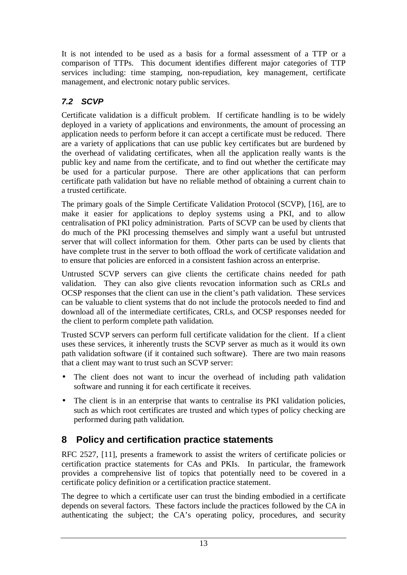It is not intended to be used as a basis for a formal assessment of a TTP or a comparison of TTPs. This document identifies different major categories of TTP services including: time stamping, non-repudiation, key management, certificate management, and electronic notary public services.

## **7.2 SCVP**

Certificate validation is a difficult problem. If certificate handling is to be widely deployed in a variety of applications and environments, the amount of processing an application needs to perform before it can accept a certificate must be reduced. There are a variety of applications that can use public key certificates but are burdened by the overhead of validating certificates, when all the application really wants is the public key and name from the certificate, and to find out whether the certificate may be used for a particular purpose. There are other applications that can perform certificate path validation but have no reliable method of obtaining a current chain to a trusted certificate.

The primary goals of the Simple Certificate Validation Protocol (SCVP), [16], are to make it easier for applications to deploy systems using a PKI, and to allow centralisation of PKI policy administration. Parts of SCVP can be used by clients that do much of the PKI processing themselves and simply want a useful but untrusted server that will collect information for them. Other parts can be used by clients that have complete trust in the server to both offload the work of certificate validation and to ensure that policies are enforced in a consistent fashion across an enterprise.

Untrusted SCVP servers can give clients the certificate chains needed for path validation. They can also give clients revocation information such as CRLs and OCSP responses that the client can use in the client's path validation. These services can be valuable to client systems that do not include the protocols needed to find and download all of the intermediate certificates, CRLs, and OCSP responses needed for the client to perform complete path validation.

Trusted SCVP servers can perform full certificate validation for the client. If a client uses these services, it inherently trusts the SCVP server as much as it would its own path validation software (if it contained such software). There are two main reasons that a client may want to trust such an SCVP server:

- The client does not want to incur the overhead of including path validation software and running it for each certificate it receives.
- The client is in an enterprise that wants to centralise its PKI validation policies, such as which root certificates are trusted and which types of policy checking are performed during path validation.

## **8 Policy and certification practice statements**

RFC 2527, [11], presents a framework to assist the writers of certificate policies or certification practice statements for CAs and PKIs. In particular, the framework provides a comprehensive list of topics that potentially need to be covered in a certificate policy definition or a certification practice statement.

The degree to which a certificate user can trust the binding embodied in a certificate depends on several factors. These factors include the practices followed by the CA in authenticating the subject; the CA's operating policy, procedures, and security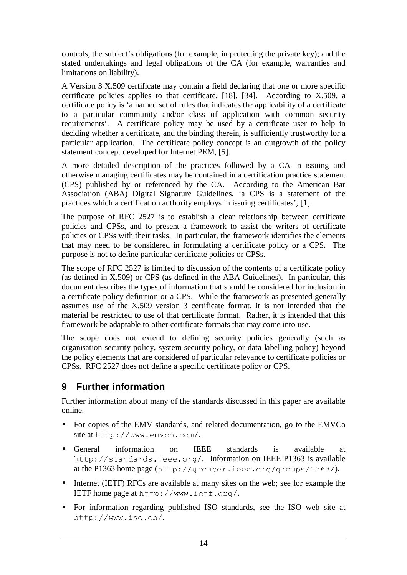controls; the subject's obligations (for example, in protecting the private key); and the stated undertakings and legal obligations of the CA (for example, warranties and limitations on liability).

A Version 3 X.509 certificate may contain a field declaring that one or more specific certificate policies applies to that certificate, [18], [34]. According to X.509, a certificate policy is 'a named set of rules that indicates the applicability of a certificate to a particular community and/or class of application with common security requirements'. A certificate policy may be used by a certificate user to help in deciding whether a certificate, and the binding therein, is sufficiently trustworthy for a particular application. The certificate policy concept is an outgrowth of the policy statement concept developed for Internet PEM, [5].

A more detailed description of the practices followed by a CA in issuing and otherwise managing certificates may be contained in a certification practice statement (CPS) published by or referenced by the CA. According to the American Bar Association (ABA) Digital Signature Guidelines, 'a CPS is a statement of the practices which a certification authority employs in issuing certificates', [1].

The purpose of RFC 2527 is to establish a clear relationship between certificate policies and CPSs, and to present a framework to assist the writers of certificate policies or CPSs with their tasks. In particular, the framework identifies the elements that may need to be considered in formulating a certificate policy or a CPS. The purpose is not to define particular certificate policies or CPSs.

The scope of RFC 2527 is limited to discussion of the contents of a certificate policy (as defined in X.509) or CPS (as defined in the ABA Guidelines). In particular, this document describes the types of information that should be considered for inclusion in a certificate policy definition or a CPS. While the framework as presented generally assumes use of the X.509 version 3 certificate format, it is not intended that the material be restricted to use of that certificate format. Rather, it is intended that this framework be adaptable to other certificate formats that may come into use.

The scope does not extend to defining security policies generally (such as organisation security policy, system security policy, or data labelling policy) beyond the policy elements that are considered of particular relevance to certificate policies or CPSs. RFC 2527 does not define a specific certificate policy or CPS.

## **9 Further information**

Further information about many of the standards discussed in this paper are available online.

- For copies of the EMV standards, and related documentation, go to the EMVCo site at http://www.emvco.com/.
- General information on IEEE standards is available at http://standards.ieee.org/. Information on IEEE P1363 is available at the P1363 home page (http://grouper.ieee.org/groups/1363/).
- Internet (IETF) RFCs are available at many sites on the web; see for example the IETF home page at http://www.ietf.org/.
- For information regarding published ISO standards, see the ISO web site at http://www.iso.ch/.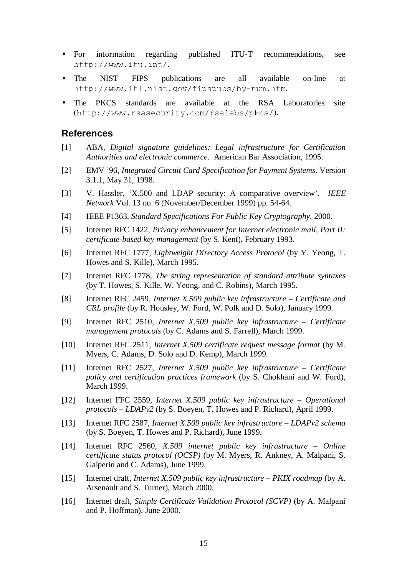- For information regarding published ITU-T recommendations, see http://www.itu.int/.
- The NIST FIPS publications are all available on-line at http://www.itl.nist.gov/fipspubs/by-num.htm.
- The PKCS standards are available at the RSA Laboratories site (http://www.rsasecurity.com/rsalabs/pkcs/).

#### **References**

- [1] ABA, *Digital signature guidelines: Legal infrastructure for Certification Authorities and electronic commerce*. American Bar Association, 1995.
- [2] EMV '96, *Integrated Circuit Card Specification for Payment Systems*. Version 3.1.1, May 31, 1998.
- [3] V. Hassler, 'X.500 and LDAP security: A comparative overview'. *IEEE Network* Vol. 13 no. 6 (November/December 1999) pp. 54-64.
- [4] IEEE P1363, *Standard Specifications For Public Key Cryptography*, 2000.
- [5] Internet RFC 1422, *Privacy enhancement for Internet electronic mail, Part II: certificate-based key management* (by S. Kent), February 1993.
- [6] Internet RFC 1777, *Lightweight Directory Access Protocol* (by Y. Yeong, T. Howes and S. Kille), March 1995.
- [7] Internet RFC 1778, *The string representation of standard attribute syntaxes* (by T. Howes, S. Kille, W. Yeong, and C. Robins), March 1995.
- [8] Internet RFC 2459, *Internet X.509 public key infrastructure Certificate and CRL profile* (by R. Housley, W. Ford, W. Polk and D. Solo), January 1999.
- [9] Internet RFC 2510, *Internet X.509 public key infrastructure Certificate management protocols* (by C. Adams and S. Farrell), March 1999.
- [10] Internet RFC 2511, *Internet X.509 certificate request message format* (by M. Myers, C. Adams, D. Solo and D. Kemp), March 1999.
- [11] Internet RFC 2527, *Internet X.509 public key infrastructure Certificate policy and certification practices framework* (by S. Chokhani and W. Ford), March 1999.
- [12] Internet FFC 2559, *Internet X.509 public key infrastructure Operational protocols – LDAPv2* (by S. Boeyen, T. Howes and P. Richard), April 1999.
- [13] Internet RFC 2587, *Internet X.509 public key infrastructure LDAPv2 schema* (by S. Boeyen, T. Howes and P. Richard), June 1999.
- [14] Internet RFC 2560, *X.509 internet public key infrastructure Online certificate status protocol (OCSP)* (by M. Myers, R. Ankney, A. Malpani, S. Galperin and C. Adams), June 1999.
- [15] Internet draft, *Internet X.509 public key infrastructure PKIX roadmap* (by A. Arsenault and S. Turner), March 2000.
- [16] Internet draft, *Simple Certificate Validation Protocol (SCVP)* (by A. Malpani and P. Hoffman), June 2000.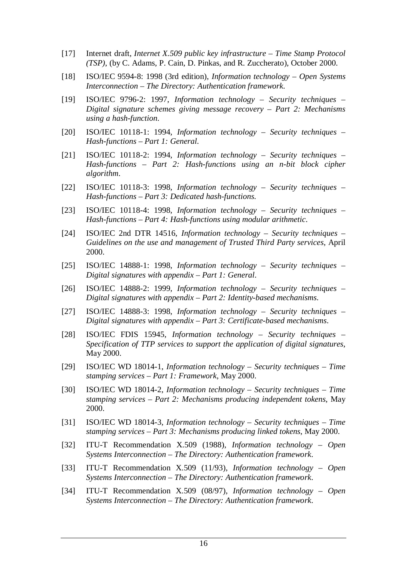- [17] Internet draft, *Internet X.509 public key infrastructure Time Stamp Protocol (TSP)*, (by C. Adams, P. Cain, D. Pinkas, and R. Zuccherato), October 2000.
- [18] ISO/IEC 9594-8: 1998 (3rd edition), *Information technology Open Systems Interconnection – The Directory: Authentication framework*.
- [19] ISO/IEC 9796-2: 1997, *Information technology Security techniques Digital signature schemes giving message recovery – Part 2: Mechanisms using a hash-function*.
- [20] ISO/IEC 10118-1: 1994, *Information technology Security techniques Hash-functions – Part 1: General*.
- [21] ISO/IEC 10118-2: 1994, *Information technology Security techniques Hash-functions – Part 2: Hash-functions using an n-bit block cipher algorithm*.
- [22] ISO/IEC 10118-3: 1998, *Information technology Security techniques Hash-functions – Part 3: Dedicated hash-functions*.
- [23] ISO/IEC 10118-4: 1998, *Information technology Security techniques Hash-functions – Part 4: Hash-functions using modular arithmetic*.
- [24] ISO/IEC 2nd DTR 14516, *Information technology Security techniques Guidelines on the use and management of Trusted Third Party services*, April 2000.
- [25] ISO/IEC 14888-1: 1998, *Information technology Security techniques Digital signatures with appendix – Part 1: General*.
- [26] ISO/IEC 14888-2: 1999, *Information technology Security techniques Digital signatures with appendix – Part 2: Identity-based mechanisms*.
- [27] ISO/IEC 14888-3: 1998, *Information technology Security techniques Digital signatures with appendix – Part 3: Certificate-based mechanisms*.
- [28] ISO/IEC FDIS 15945, *Information technology Security techniques Specification of TTP services to support the application of digital signatures*, May 2000.
- [29] ISO/IEC WD 18014-1, *Information technology Security techniques Time stamping services – Part 1: Framework*, May 2000.
- [30] ISO/IEC WD 18014-2, *Information technology Security techniques Time stamping services – Part 2: Mechanisms producing independent tokens*, May 2000.
- [31] ISO/IEC WD 18014-3, *Information technology Security techniques Time stamping services – Part 3: Mechanisms producing linked tokens*, May 2000.
- [32] ITU-T Recommendation X.509 (1988), *Information technology Open Systems Interconnection – The Directory: Authentication framework*.
- [33] ITU-T Recommendation X.509 (11/93), *Information technology Open Systems Interconnection – The Directory: Authentication framework*.
- [34] ITU-T Recommendation X.509 (08/97), *Information technology Open Systems Interconnection – The Directory: Authentication framework*.